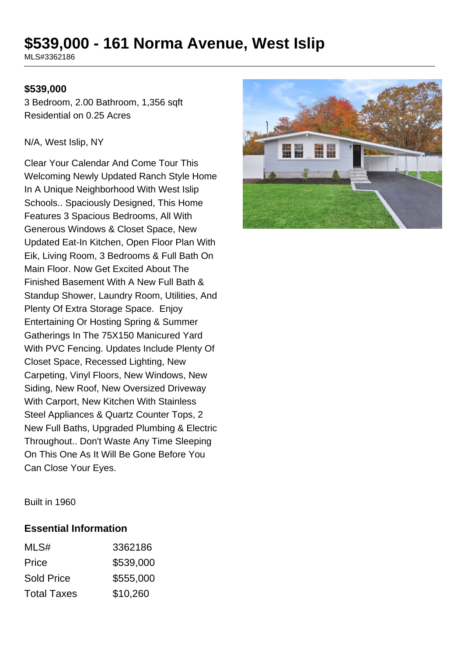# **\$539,000 - 161 Norma Avenue, West Islip**

MLS#3362186

#### **\$539,000**

3 Bedroom, 2.00 Bathroom, 1,356 sqft Residential on 0.25 Acres

#### N/A, West Islip, NY

Clear Your Calendar And Come Tour This Welcoming Newly Updated Ranch Style Home In A Unique Neighborhood With West Islip Schools.. Spaciously Designed, This Home Features 3 Spacious Bedrooms, All With Generous Windows & Closet Space, New Updated Eat-In Kitchen, Open Floor Plan With Eik, Living Room, 3 Bedrooms & Full Bath On Main Floor. Now Get Excited About The Finished Basement With A New Full Bath & Standup Shower, Laundry Room, Utilities, And Plenty Of Extra Storage Space. Enjoy Entertaining Or Hosting Spring & Summer Gatherings In The 75X150 Manicured Yard With PVC Fencing. Updates Include Plenty Of Closet Space, Recessed Lighting, New Carpeting, Vinyl Floors, New Windows, New Siding, New Roof, New Oversized Driveway With Carport, New Kitchen With Stainless Steel Appliances & Quartz Counter Tops, 2 New Full Baths, Upgraded Plumbing & Electric Throughout.. Don't Waste Any Time Sleeping On This One As It Will Be Gone Before You Can Close Your Eyes.



Built in 1960

#### **Essential Information**

| MLS#               | 3362186   |
|--------------------|-----------|
| Price              | \$539,000 |
| <b>Sold Price</b>  | \$555,000 |
| <b>Total Taxes</b> | \$10,260  |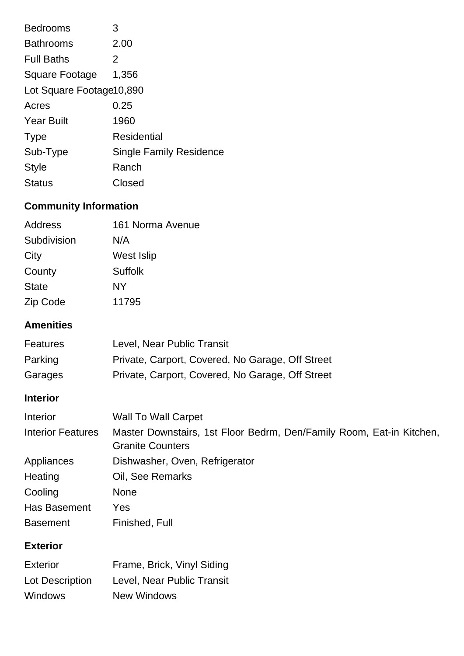| <b>Bedrooms</b>           | 3                              |
|---------------------------|--------------------------------|
| <b>Bathrooms</b>          | 2.00                           |
| <b>Full Baths</b>         | 2                              |
| <b>Square Footage</b>     | 1,356                          |
| Lot Square Footage 10,890 |                                |
| Acres                     | 0.25                           |
| <b>Year Built</b>         | 1960                           |
| <b>Type</b>               | Residential                    |
| Sub-Type                  | <b>Single Family Residence</b> |
| <b>Style</b>              | Ranch                          |
| <b>Status</b>             | Closed                         |

# **Community Information**

| Address      | 161 Norma Avenue |
|--------------|------------------|
| Subdivision  | N/A              |
| City         | West Islip       |
| County       | <b>Suffolk</b>   |
| <b>State</b> | NΥ               |
| Zip Code     | 11795            |

# **Amenities**

| <b>Features</b> | Level, Near Public Transit                       |
|-----------------|--------------------------------------------------|
| Parking         | Private, Carport, Covered, No Garage, Off Street |
| Garages         | Private, Carport, Covered, No Garage, Off Street |

### **Interior**

| Interior                 | <b>Wall To Wall Carpet</b>                                                                      |
|--------------------------|-------------------------------------------------------------------------------------------------|
| <b>Interior Features</b> | Master Downstairs, 1st Floor Bedrm, Den/Family Room, Eat-in Kitchen,<br><b>Granite Counters</b> |
| Appliances               | Dishwasher, Oven, Refrigerator                                                                  |
| Heating                  | Oil, See Remarks                                                                                |
| Cooling                  | <b>None</b>                                                                                     |
| Has Basement             | Yes                                                                                             |
| <b>Basement</b>          | Finished, Full                                                                                  |

## **Exterior**

| Exterior        | Frame, Brick, Vinyl Siding |
|-----------------|----------------------------|
| Lot Description | Level, Near Public Transit |
| <b>Windows</b>  | <b>New Windows</b>         |